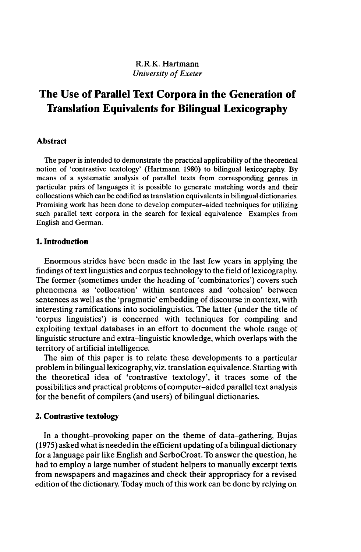# R.R.K. Hartmann *University* of Exeter

# **The Use of Parallel Text Corpora in the Generation of Translation Equivalents for Bilingual Lexicography**

## **Abstract**

The paper is intended to demonstrate the practical applicability of the theoretical notion of 'contrastive textology' (Hartmann 1980) to bilingual lexicography. By means of a systematic analysis of parallel texts from corresponding genres in particular pairs of languages it is possible to generate matching words and their collocations which can be codified as translation equivalents in bilingual dictionaries. Promising work has been done to develop computer-aided techniques for utilizing such parallel text corpora in the search for lexical equivalence Examples from English and German.

## **1. Introduction**

Enormous strides have been made in the last few years in applying the findings of text linguistics and corpus technology to the field of lexicography. The former (sometimes under the heading of 'combinatorics') covers such phenomena as 'collocation' within sentences and 'cohesion' between sentences as well as the 'pragmatic' embedding of discourse in context, with interesting ramifications into sociolinguistics. The latter (under the title of 'corpus linguistics') is concerned with techniques for compiling and exploiting textual databases in an effort to document the whole range of linguistic structure and extra-linguistic knowledge, which overlaps with the territory of artificial intelligence.

The aim of this paper is to relate these developments to a particular problem in bilingual lexicography, viz. translation equivalence. Starting with the theoretical idea of 'contrastive textology', it traces some of the possibilities and practical problems of computer-aided parallel text analysis for the benefit of compilers (and users) of bilingual dictionaries.

# **2. Contrastive textology**

In a thought-provoking paper on the theme of data-gathering, Bujas  $(1975)$  asked what is needed in the efficient updating of a bilingual dictionary for a language pair like English and SerboCroat. To answer the question, he had to employ a large number of student helpers to manually excerpt texts from newspapers and magazines and check their appropriacy for a revised edition of the dictionary. Today much of this work can be done by relying on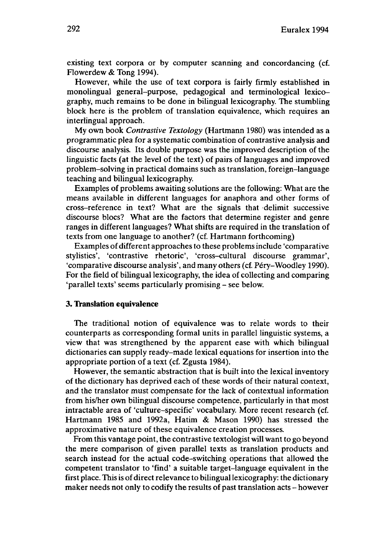existing text corpora or by computer scanning and concordancing (cf. Flowerdew & Tong 1994).

However, while the use of text corpora is fairly firmly established in monolingual general-purpose, pedagogical and terminological lexicography, much remains to be done in bilingual lexicography. The stumbling block here is the problem of translation equivalence, which requires an interlingual approach.

My own book *Contrastive Textology* (Hartmann 1980) was intended as a programmatic plea for a systematic combination of contrastive analysis and discourse analysis. Its double purpose was the improved description of the linguistic facts (at the level of the text) of pairs of languages and improved problem-solving in practical domains such as translation, foreign-language teaching and bilingual lexicography.

Examples of problems awaiting solutions are the following: What are the means available in different languages for anaphora and other forms of cross-reference in text? What are the signals that delimit successive discourse blocs? What are the factors that determine register and genre ranges in different languages? What shifts are required in the translation of texts from one language to another? (cf. Hartmann forthcoming)

Examples of different approaches to these problemsinclude 'comparative stylistics', 'contrastive rhetoric', 'cross-cultural discourse grammar', 'comparative discourse analysis', and many others (cf. Péry-Woodley 1990). For the field of bilingual lexicography, the idea of collecting and comparing 'parallel texts' seems particularly promising - see below.

#### **3. Translation equivalence**

The traditional notion of equivalence was to relate words to their counterparts as corresponding formal units in parallel linguistic systems, a view that was strengthened by the apparent ease with which bilingual dictionaries can supply ready-made lexical equations for insertion into the appropriate portion of a text (cf. Zgusta 1984).

However, the semantic abstraction that is built into the lexical inventory of the dictionary has deprived each of these words of their natural context, and the translator must compensate for the lack of contextual information from his/her own bilingual discourse competence, particularly in that most intractable area of 'culture-specific' vocabulary. More recent research (cf. Hartmann 1985 and 1992a, Hatim & Mason 1990) has stressed the approximative nature of these equivalence creation processes.

From this vantage point, the contrastive textologist will want to go beyond the mere comparison of given parallel texts as translation products and search instead for the actual code-switching operations that allowed the competent translator to 'find' a suitable target-language equivalent in the first place. This is of direct relevance to bilinguallexicography: the dictionary maker needs not only to codify the results of past translation acts - however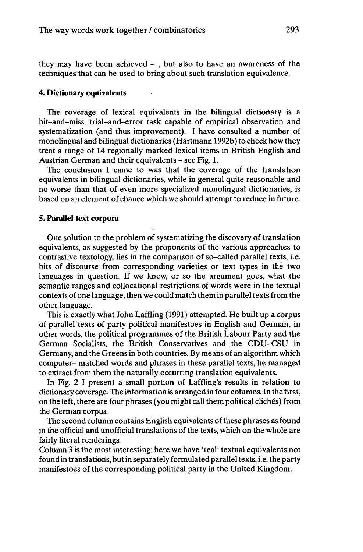they may have been achieved  $-$ , but also to have an awareness of the techniques that can be used to bring about such translation equivalence.

#### **4. Dictionary equivalents**

The coverage of lexical equivalents in the bilingual dictionary is a hit-and-miss, trial-and-error task capable of empirical observation and systematization (and thus improvement). I have consulted a number of monolingual and bilingual dictionaries (Hartmann 1992b) to check how they treat a range of 14 regionally marked lexical items in British English and Austrian German and their equivalents - see Fig. 1.

The conclusion I came to was that the coverage of the translation equivalents in bilingual dictionaries, while in general quite reasonable and no worse than that of even more specialized monolingual dictionaries, is based on an element of chance which we should attempt to reduce in future.

## **5. Parallel** *text* **corpora**

One solution to the problem of systematizing the discovery of translation equivalents, as suggested by the proponents of the various approaches to contrastive textology, lies in the comparison of so-called parallel texts, i.e. bits of discourse from corresponding varieties or text types in the two languages in question. If we knew, or so the argument goes, what the semantic ranges and collocational restrictions of words were in the textual contexts of one language, then we could match them in parallel texts from the other language.

This is exactly what John Laffling (1991) attempted. He built up a corpus of parallel texts of party political manifestoes in English and German, in other words, the political programmes of the British Labour Party and the German Socialists, the British Conservatives and the CDU-CSU in Germany, and the Greensin both countries. By means of an algorithm which computer- matched words and phrases in these parallel texts, he managed to extract from them the naturally occurring translation equivalents.

In Fig. 2 I present a small portion of Laffling's results in relation to dictionary coverage. The information is arranged in four columns. In the first, on the left, there are four phrases (you might call them political clichés) from the German corpus.

The second column contains English equivalents of these phrases as found in the official and unofficial translations of the texts, which on the whole are fairly literal renderings.

Column 3 is the most interesting: here we have 'real' textual equivalents not found in translations, butin separately formulated paralleltexts, i.e. the party manifestoes of the corresponding political party in the United Kingdom.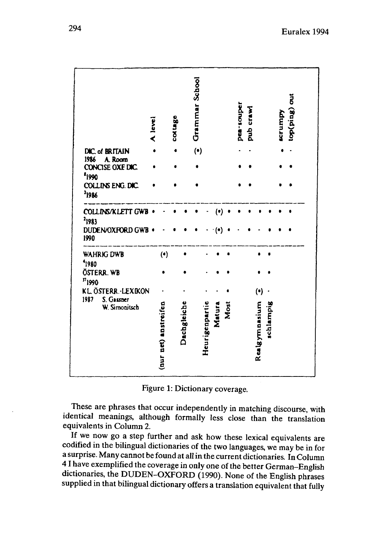|                                                  | A level |                      | cotuge |             | Grammar School |                |        |      | pea-souper | pub crawl |               |           | <b>ECTUMPY</b> | top(ping) out |
|--------------------------------------------------|---------|----------------------|--------|-------------|----------------|----------------|--------|------|------------|-----------|---------------|-----------|----------------|---------------|
| DIC. of BRITAIN<br>1986                          |         |                      |        |             | $(\cdot)$      |                |        |      |            |           |               |           |                |               |
| A. Room<br>CONCISE OXE DIC.<br><sup>8</sup> 1990 |         |                      |        |             |                |                |        |      |            |           |               |           |                |               |
| COLLINS ENG. DIC.<br><sup>2</sup> 1986           |         |                      |        |             |                |                |        |      |            |           |               |           |                |               |
| COLLINS/KLETT GWB<br><sup>2</sup> 1983           |         |                      |        |             |                |                | (•)    |      |            |           |               |           |                |               |
| DUDEN/OXFORD GWB<br>1990                         |         |                      |        |             |                |                |        |      |            |           |               |           |                |               |
| WAHRIG DWB<br>1980                               |         | (•)                  |        |             |                |                |        |      |            |           |               |           |                |               |
| ÖSTERR. WB<br>$n_{1990}$                         |         |                      |        |             |                |                |        |      |            |           |               |           |                |               |
| KL ÖSTERR.-LEXIKON                               |         |                      |        |             |                |                |        |      |            |           | (•)           |           |                |               |
| 1987<br>S. Gassner<br>W. Simonitsch              |         | (nur net) anstreifen |        | Dachgleiche |                | Heurigenpartie | Matura | Most |            |           | Realgymnasium | schlampig |                |               |

Figure 1: Dictionary coverage.

These are phrases that occur independently in matching discourse, with identical meanings, although formally less close than the translation equivalents in Column 2.

If we now go a step further and ask how these lexical equivalents are codified in the bilingual dictionaries of the two languages, we may be in for a surprise. Many cannot be found at all in the current dictionaries. In Column 41 have exemplified the coverage in only one ofthe better German-English dictionaries, the DUDEN-OXFORD (1990). None of the English phrases supplied in that bilingual dictionary offers a translation equivalent that fully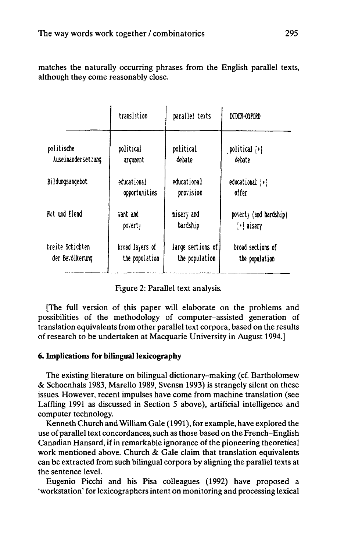matches the naturally occurring phrases from the English parallel texts, although they come reasonably close.

|                    | translation     | parallel texts    | DCDEN-OXPORD              |
|--------------------|-----------------|-------------------|---------------------------|
| politische         | political       | political         | political [+]             |
| Auseinanderset:ung | arqueent        | debate            | debate                    |
| Bildungsangebot    | educational     | educational       | $educational$ $\{\cdot\}$ |
|                    | opportunities   | provision         | offer                     |
| Not und Elend      | vant and        | nisery and        | poverty (and hardship)    |
|                    | poverty         | hardship          | $[!]$ aisery              |
| breite Schichten   | broad layers of | large sections of | broad sections of         |
| der Bevölkerung    | the population  | the population    | the population            |

Figure 2: Parallel text analysis.

[The full version of this paper will elaborate on the problems and possibilities of the methodology of computer-assisted generation of translation equivalents from other parallel text corpora, based on the results of research to be undertaken at Macquarie University in August 1994.]

# **6. Implications for bilingual lexicography**

The existing literature on bilingual dictionary-making (cf. Bartholomew & Schoenhals 1983, Marello 1989, Svensn 1993) is strangely silent on these issues. However, recent impulses have come from machine translation (see Laffling 1991 as discussed in Section 5 above), artificial intelligence and computer technology.

Kenneth Church and William Gale (1991), for example, have explored the use of parallel text concordances, such as those based on the French-English Canadian Hansard, if in remarkable ignorance of the pioneering theoretical work mentioned above. Church & Gale claim that translation equivalents can be extracted from such bilingual corpora by aligning the parallel texts at the sentence level.

Eugenio Picchi and his Pisa colleagues (1992) have proposed a 'workstation' forlexicographersintent on monitoring and processing lexical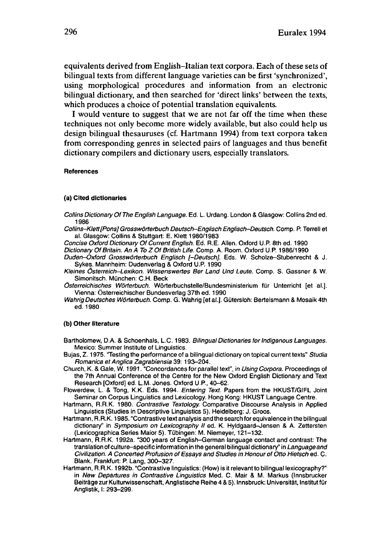equivalents derived from English-Italian text corpora. Each of these sets of bilingual texts from different language varieties can be first 'synchronized', using morphological procedures and information from an electronic bilingual dictionary, and then searched for 'direct links' between the texts, which produces a choice of potential translation equivalents.

I would venture to suggest that we are not far off the time when these techniques not only become more widely available, but also could help us design bilingual thesauruses (cf. Hartmann 1994) from text corpora taken from corresponding genres in selected pairs of languages and thus benefit dictionary compilers and dictionary users, especially translators.

#### **References**

#### **(a) Cited dictionaries**

- Collins Dictionary Of The English Language. Ed. L. Urdang. London & Glasgow: Collins 2nd ed. 1986
- Collins-Klett[Pons] Grosswörterbuch Deutsch-Englisch Englisch-Deutsch. Comp. P. Terrell et al. Glasgow: Collins & Stuttgart: E. Klett 1980/1983

Concise Oxford Dictionary Of Current English. Ed. R.E. Allen. Oxford U.P. 8th ed. 1990 Dictionary Of Britain. An A To Z Of British Life. Comp. A. Room. Oxford UP. 1986/1990 Duden-Oxford Grosswörterbuch Englisch [-Deutsch]. Eds. W. Scholze-Stubenrecht & J. Sykes. Mannheim: Dudenverlag & Oxford U.P. 1990

- Kleines Österreich-Lexikon. Wissenswertes Ber Land Und Leute. Comp. S. Gassner & W. Simonitsch. München: C.H. Beck
- Österreichisches Wörterbuch. Wörterbuchstelle/Bundesministerium für Unterricht [et al.]. Vienna: Österreichischer Bundesverlag 37th ed. 1990
- Wahrig Deutsches Wörterbuch. Comp. G. Wahrig [etal.]. Gütersloh: Bertelsmann & Mosaik 4th ed. 1980

#### **(b) Other literature**

- Bartholomew, D.A. & Schoenhals, L.C. 1983. Bilingual Dictionaries for Indigenous Languages. Mexico: Summer Institute of Linguistics.
- Bujas, 2.1975. 'Testing the performance of a bilingual dictionary on topical current texts" Studia Romanica et Anglica Zagrabiensia 39: 193-204.
- Church, K. & Gale, W. 1991. "Concordances for parallel text", in Using Corpora. Proceedings of the 7th Annual Conference of the Centre for the New Oxford English Dictionary and Text Research [Oxford] ed. L.M. Jones. Oxford U.P., 40-62.
- Flowerdew, L. & Tong, K.K. Eds. 1994. Entering Text. Papers from the HKUST/GIFL Joint Seminar.on Corpus Linguistics and Lexicology. Hong Kong: HKUST Language Centre.
- Hartmann, R.R.K. 1980. Contrastive Textology. Comparative Discourse Analysis in Applied Linguistics (Studies in Descriptive Linguistics 5). Heidelberg: J. Groos.
- Hartmann, R.R.K. 1985. "Contrastive text analysis and the search for equivalence in the bilingual dictionary" in Symposium on Lexicography II ed. K. Hyldgaard-Jensen & A. Zettersten (Lexicographica Series Maior5). Tübingen: M. Niemeyer, 121-132.
- Hartmann, R.R.K. 1992a. "300 years of English-German language contact and contrast: The translation of culture-specific information in the general bilingual dictionary" in Language and Civilization. A Concerted Profusion of Essays and Studies in Honour of Otto Hietsch ed. C. Blank. Frankfurt: P. Lang, 300-327.
- Hartmann, R.R.K. 1992b. "Contrastive linguistics: (How) is it relevant to bilingual lexicography?" in New Departures in Contrastive Linguistics Med. C. Mair & M. Markus (Innsbrucker Beiträge zur Kulturwissenschaft, Anglistische Reihe 4 & 5). Innsbruck: Universität, Institut für Anglistik, I: 293-299.